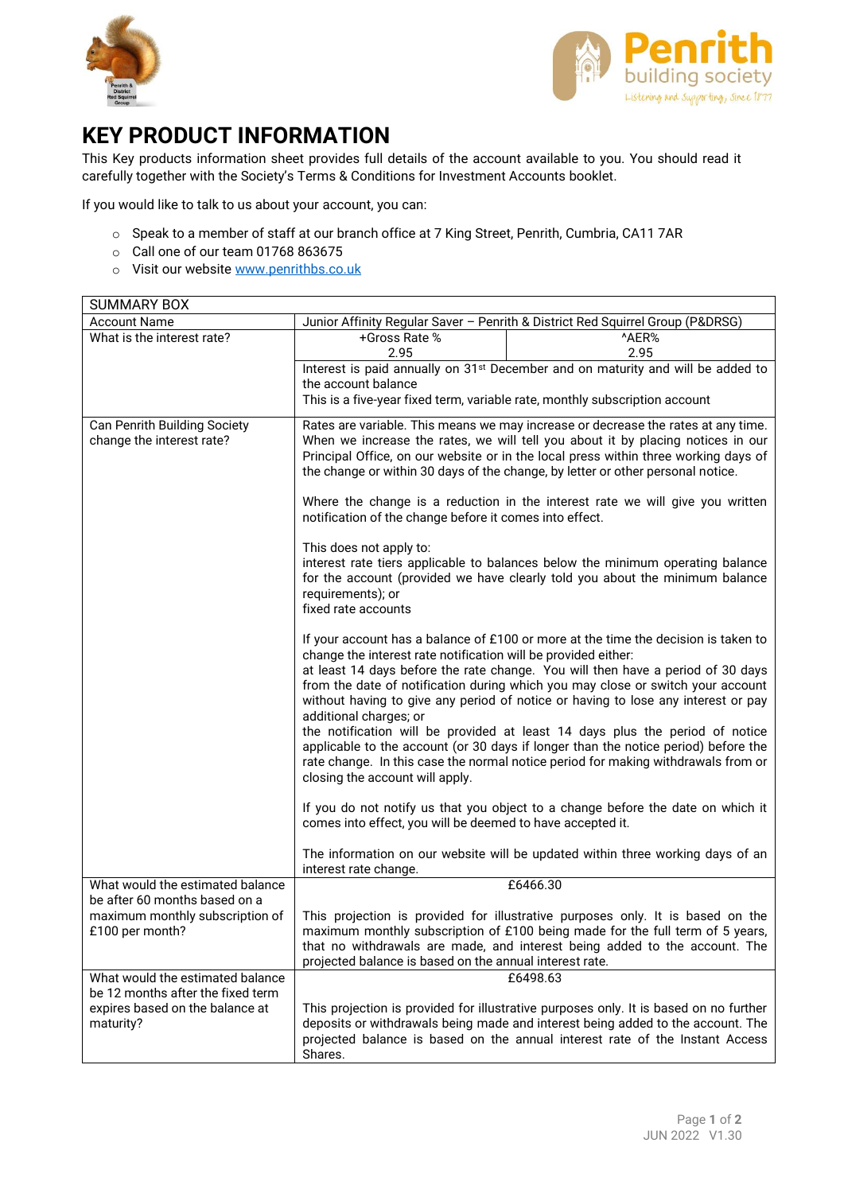



## **KEY PRODUCT INFORMATION**

This Key products information sheet provides full details of the account available to you. You should read it carefully together with the Society's Terms & Conditions for Investment Accounts booklet.

If you would like to talk to us about your account, you can:

- o Speak to a member of staff at our branch office at 7 King Street, Penrith, Cumbria, CA11 7AR
- o Call one of our team 01768 863675
- o Visit our websit[e www.penrithbs.co.uk](http://www.penrithbs.co.uk/)

| <b>SUMMARY BOX</b>                                                                |                                                                                                                                                                                                                                                                                                                                                |                                                                                                                                                                                                                                                                                                                                                                                                                                                                                                                                                                                                          |
|-----------------------------------------------------------------------------------|------------------------------------------------------------------------------------------------------------------------------------------------------------------------------------------------------------------------------------------------------------------------------------------------------------------------------------------------|----------------------------------------------------------------------------------------------------------------------------------------------------------------------------------------------------------------------------------------------------------------------------------------------------------------------------------------------------------------------------------------------------------------------------------------------------------------------------------------------------------------------------------------------------------------------------------------------------------|
| <b>Account Name</b>                                                               | Junior Affinity Regular Saver - Penrith & District Red Squirrel Group (P&DRSG)                                                                                                                                                                                                                                                                 |                                                                                                                                                                                                                                                                                                                                                                                                                                                                                                                                                                                                          |
| What is the interest rate?                                                        | +Gross Rate %<br>2.95                                                                                                                                                                                                                                                                                                                          | ^AER%<br>2.95                                                                                                                                                                                                                                                                                                                                                                                                                                                                                                                                                                                            |
|                                                                                   | the account balance                                                                                                                                                                                                                                                                                                                            | Interest is paid annually on 31 <sup>st</sup> December and on maturity and will be added to<br>This is a five-year fixed term, variable rate, monthly subscription account                                                                                                                                                                                                                                                                                                                                                                                                                               |
| Can Penrith Building Society<br>change the interest rate?                         | Rates are variable. This means we may increase or decrease the rates at any time.<br>When we increase the rates, we will tell you about it by placing notices in our<br>Principal Office, on our website or in the local press within three working days of<br>the change or within 30 days of the change, by letter or other personal notice. |                                                                                                                                                                                                                                                                                                                                                                                                                                                                                                                                                                                                          |
|                                                                                   | Where the change is a reduction in the interest rate we will give you written<br>notification of the change before it comes into effect.                                                                                                                                                                                                       |                                                                                                                                                                                                                                                                                                                                                                                                                                                                                                                                                                                                          |
|                                                                                   | This does not apply to:<br>interest rate tiers applicable to balances below the minimum operating balance<br>for the account (provided we have clearly told you about the minimum balance<br>requirements); or<br>fixed rate accounts                                                                                                          |                                                                                                                                                                                                                                                                                                                                                                                                                                                                                                                                                                                                          |
|                                                                                   | change the interest rate notification will be provided either:<br>additional charges; or<br>closing the account will apply.                                                                                                                                                                                                                    | If your account has a balance of £100 or more at the time the decision is taken to<br>at least 14 days before the rate change. You will then have a period of 30 days<br>from the date of notification during which you may close or switch your account<br>without having to give any period of notice or having to lose any interest or pay<br>the notification will be provided at least 14 days plus the period of notice<br>applicable to the account (or 30 days if longer than the notice period) before the<br>rate change. In this case the normal notice period for making withdrawals from or |
|                                                                                   | comes into effect, you will be deemed to have accepted it.                                                                                                                                                                                                                                                                                     | If you do not notify us that you object to a change before the date on which it                                                                                                                                                                                                                                                                                                                                                                                                                                                                                                                          |
|                                                                                   | interest rate change.                                                                                                                                                                                                                                                                                                                          | The information on our website will be updated within three working days of an                                                                                                                                                                                                                                                                                                                                                                                                                                                                                                                           |
| What would the estimated balance<br>be after 60 months based on a                 |                                                                                                                                                                                                                                                                                                                                                | £6466.30                                                                                                                                                                                                                                                                                                                                                                                                                                                                                                                                                                                                 |
| maximum monthly subscription of<br>£100 per month?                                | projected balance is based on the annual interest rate.                                                                                                                                                                                                                                                                                        | This projection is provided for illustrative purposes only. It is based on the<br>maximum monthly subscription of £100 being made for the full term of 5 years,<br>that no withdrawals are made, and interest being added to the account. The                                                                                                                                                                                                                                                                                                                                                            |
| What would the estimated balance                                                  | £6498.63                                                                                                                                                                                                                                                                                                                                       |                                                                                                                                                                                                                                                                                                                                                                                                                                                                                                                                                                                                          |
| be 12 months after the fixed term<br>expires based on the balance at<br>maturity? | Shares.                                                                                                                                                                                                                                                                                                                                        | This projection is provided for illustrative purposes only. It is based on no further<br>deposits or withdrawals being made and interest being added to the account. The<br>projected balance is based on the annual interest rate of the Instant Access                                                                                                                                                                                                                                                                                                                                                 |
|                                                                                   |                                                                                                                                                                                                                                                                                                                                                |                                                                                                                                                                                                                                                                                                                                                                                                                                                                                                                                                                                                          |